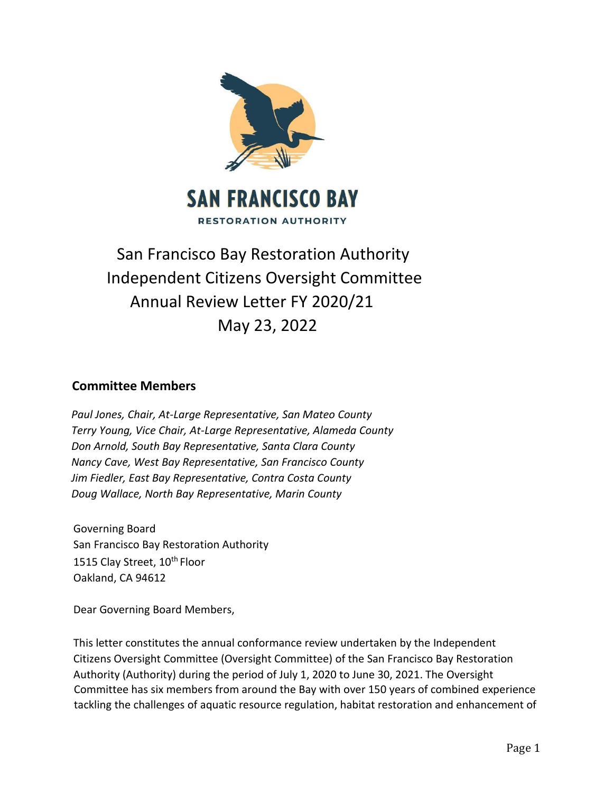

# San Francisco Bay Restoration Authority Independent Citizens Oversight Committee Annual Review Letter FY 2020/21 May 23, 2022

## **Committee Members**

*Paul Jones, Chair, At‐Large Representative, San Mateo County Terry Young, Vice Chair, At‐Large Representative, Alameda County Don Arnold, South Bay Representative, Santa Clara County Nancy Cave, West Bay Representative, San Francisco County Jim Fiedler, East Bay Representative, Contra Costa County Doug Wallace, North Bay Representative, Marin County* 

Governing Board San Francisco Bay Restoration Authority 1515 Clay Street, 10<sup>th</sup> Floor Oakland, CA 94612

Dear Governing Board Members,

This letter constitutes the annual conformance review undertaken by the Independent Citizens Oversight Committee (Oversight Committee) of the San Francisco Bay Restoration Authority (Authority) during the period of July 1, 2020 to June 30, 2021. The Oversight Committee has six members from around the Bay with over 150 years of combined experience tackling the challenges of aquatic resource regulation, habitat restoration and enhancement of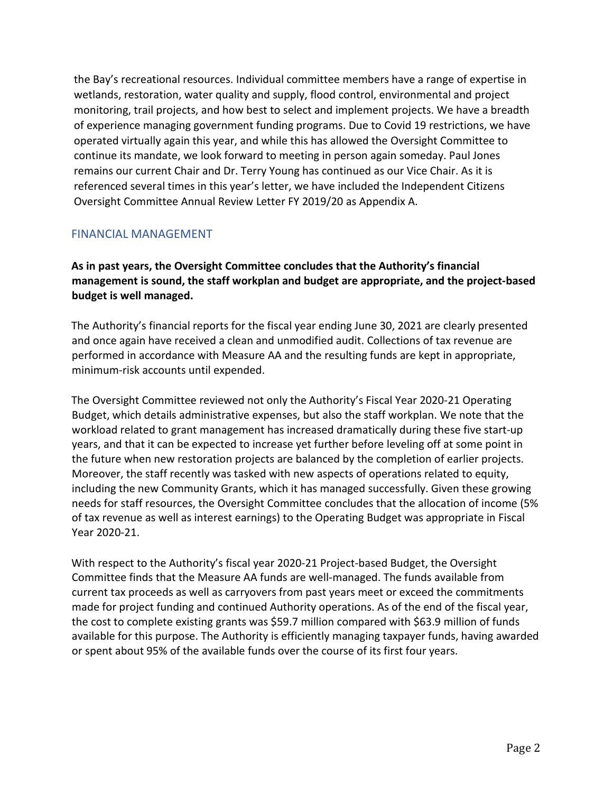the Bay's recreational resources. Individual committee members have a range of expertise in wetlands, restoration, water quality and supply, flood control, environmental and project monitoring, trail projects, and how best to select and implement projects. We have a breadth of experience managing government funding programs. Due to Covid 19 restrictions, we have operated virtually again this year, and while this has allowed the Oversight Committee to continue its mandate, we look forward to meeting in person again someday. Paul Jones remains our current Chair and Dr. Terry Young has continued as our Vice Chair. As it is referenced several times in this year's letter, we have included the Independent Citizens Oversight Committee Annual Review Letter FY 2019/20 as Appendix A.

## FINANCIAL MANAGEMENT

**As in past years, the Oversight Committee concludes that the Authority's financial management is sound, the staff workplan and budget are appropriate, and the project-based budget is well managed.** 

The Authority's financial reports for the fiscal year ending June 30, 2021 are clearly presented and once again have received a clean and unmodified audit. Collections of tax revenue are performed in accordance with Measure AA and the resulting funds are kept in appropriate, minimum-risk accounts until expended.

The Oversight Committee reviewed not only the Authority's Fiscal Year 2020-21 Operating Budget, which details administrative expenses, but also the staff workplan. We note that the workload related to grant management has increased dramatically during these five start-up years, and that it can be expected to increase yet further before leveling off at some point in the future when new restoration projects are balanced by the completion of earlier projects. Moreover, the staff recently was tasked with new aspects of operations related to equity, including the new Community Grants, which it has managed successfully. Given these growing needs for staff resources, the Oversight Committee concludes that the allocation of income (5% of tax revenue as well as interest earnings) to the Operating Budget was appropriate in Fiscal Year 2020-21.

With respect to the Authority's fiscal year 2020-21 Project-based Budget, the Oversight Committee finds that the Measure AA funds are well-managed. The funds available from current tax proceeds as well as carryovers from past years meet or exceed the commitments made for project funding and continued Authority operations. As of the end of the fiscal year, the cost to complete existing grants was \$59.7 million compared with \$63.9 million of funds available for this purpose. The Authority is efficiently managing taxpayer funds, having awarded or spent about 95% of the available funds over the course of its first four years.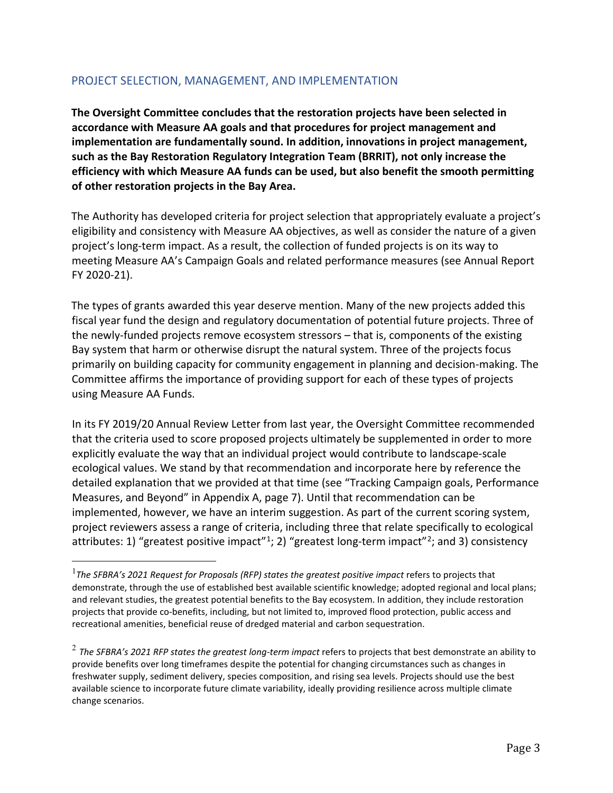## PROJECT SELECTION, MANAGEMENT, AND IMPLEMENTATION

**The Oversight Committee concludes that the restoration projects have been selected in accordance with Measure AA goals and that procedures for project management and implementation are fundamentally sound. In addition, innovations in project management, such as the Bay Restoration Regulatory Integration Team (BRRIT), not only increase the efficiency with which Measure AA funds can be used, but also benefit the smooth permitting of other restoration projects in the Bay Area.**

The Authority has developed criteria for project selection that appropriately evaluate a project's eligibility and consistency with Measure AA objectives, as well as consider the nature of a given project's long-term impact. As a result, the collection of funded projects is on its way to meeting Measure AA's Campaign Goals and related performance measures (see Annual Report FY 2020-21).

The types of grants awarded this year deserve mention. Many of the new projects added this fiscal year fund the design and regulatory documentation of potential future projects. Three of the newly-funded projects remove ecosystem stressors – that is, components of the existing Bay system that harm or otherwise disrupt the natural system. Three of the projects focus primarily on building capacity for community engagement in planning and decision-making. The Committee affirms the importance of providing support for each of these types of projects using Measure AA Funds.

In its FY 2019/20 Annual Review Letter from last year, the Oversight Committee recommended that the criteria used to score proposed projects ultimately be supplemented in order to more explicitly evaluate the way that an individual project would contribute to landscape-scale ecological values. We stand by that recommendation and incorporate here by reference the detailed explanation that we provided at that time (see "Tracking Campaign goals, Performance Measures, and Beyond" in Appendix A, page 7). Until that recommendation can be implemented, however, we have an interim suggestion. As part of the current scoring system, project reviewers assess a range of criteria, including three that relate specifically to ecological attributes: 1) "greatest positive impact"<sup>1</sup>; [2](#page-2-1)) "greatest long-term impact"<sup>2</sup>; and 3) consistency

<span id="page-2-0"></span><sup>1</sup> *The SFBRA's 2021 Request for Proposals (RFP) states the greatest positive impact* refers to projects that demonstrate, through the use of established best available scientific knowledge; adopted regional and local plans; and relevant studies, the greatest potential benefits to the Bay ecosystem. In addition, they include restoration projects that provide co-benefits, including, but not limited to, improved flood protection, public access and recreational amenities, beneficial reuse of dredged material and carbon sequestration.

<span id="page-2-1"></span><sup>&</sup>lt;sup>2</sup> The SFBRA's 2021 RFP states the greatest long-term impact refers to projects that best demonstrate an ability to provide benefits over long timeframes despite the potential for changing circumstances such as changes in freshwater supply, sediment delivery, species composition, and rising sea levels. Projects should use the best available science to incorporate future climate variability, ideally providing resilience across multiple climate change scenarios.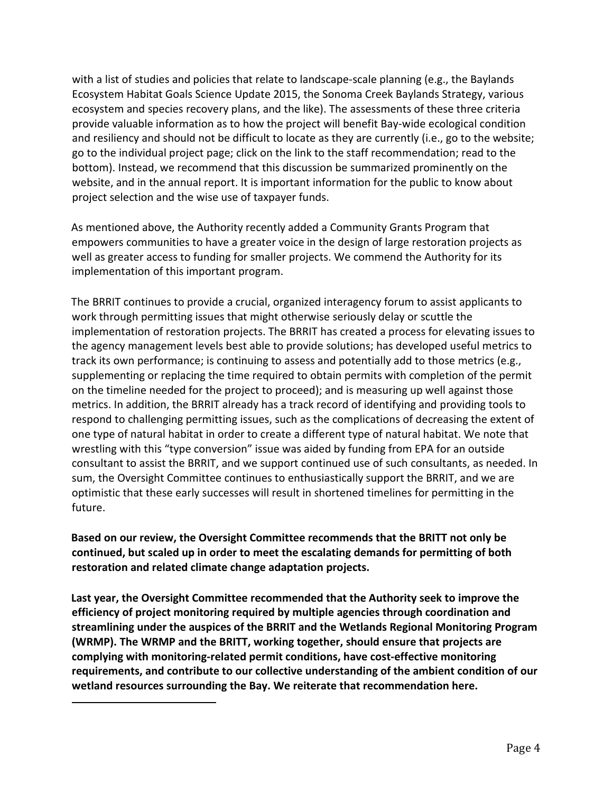with a list of studies and policies that relate to landscape-scale planning (e.g., the Baylands Ecosystem Habitat Goals Science Update 2015, the Sonoma Creek Baylands Strategy, various ecosystem and species recovery plans, and the like). The assessments of these three criteria provide valuable information as to how the project will benefit Bay-wide ecological condition and resiliency and should not be difficult to locate as they are currently (i.e., go to the website; go to the individual project page; click on the link to the staff recommendation; read to the bottom). Instead, we recommend that this discussion be summarized prominently on the website, and in the annual report. It is important information for the public to know about project selection and the wise use of taxpayer funds.

As mentioned above, the Authority recently added a Community Grants Program that empowers communities to have a greater voice in the design of large restoration projects as well as greater access to funding for smaller projects. We commend the Authority for its implementation of this important program.

The BRRIT continues to provide a crucial, organized interagency forum to assist applicants to work through permitting issues that might otherwise seriously delay or scuttle the implementation of restoration projects. The BRRIT has created a process for elevating issues to the agency management levels best able to provide solutions; has developed useful metrics to track its own performance; is continuing to assess and potentially add to those metrics (e.g., supplementing or replacing the time required to obtain permits with completion of the permit on the timeline needed for the project to proceed); and is measuring up well against those metrics. In addition, the BRRIT already has a track record of identifying and providing tools to respond to challenging permitting issues, such as the complications of decreasing the extent of one type of natural habitat in order to create a different type of natural habitat. We note that wrestling with this "type conversion" issue was aided by funding from EPA for an outside consultant to assist the BRRIT, and we support continued use of such consultants, as needed. In sum, the Oversight Committee continues to enthusiastically support the BRRIT, and we are optimistic that these early successes will result in shortened timelines for permitting in the future.

**Based on our review, the Oversight Committee recommends that the BRITT not only be continued, but scaled up in order to meet the escalating demands for permitting of both restoration and related climate change adaptation projects.**

**Last year, the Oversight Committee recommended that the Authority seek to improve the efficiency of project monitoring required by multiple agencies through coordination and streamlining under the auspices of the BRRIT and the Wetlands Regional Monitoring Program (WRMP). The WRMP and the BRITT, working together, should ensure that projects are complying with monitoring-related permit conditions, have cost-effective monitoring requirements, and contribute to our collective understanding of the ambient condition of our wetland resources surrounding the Bay. We reiterate that recommendation here.**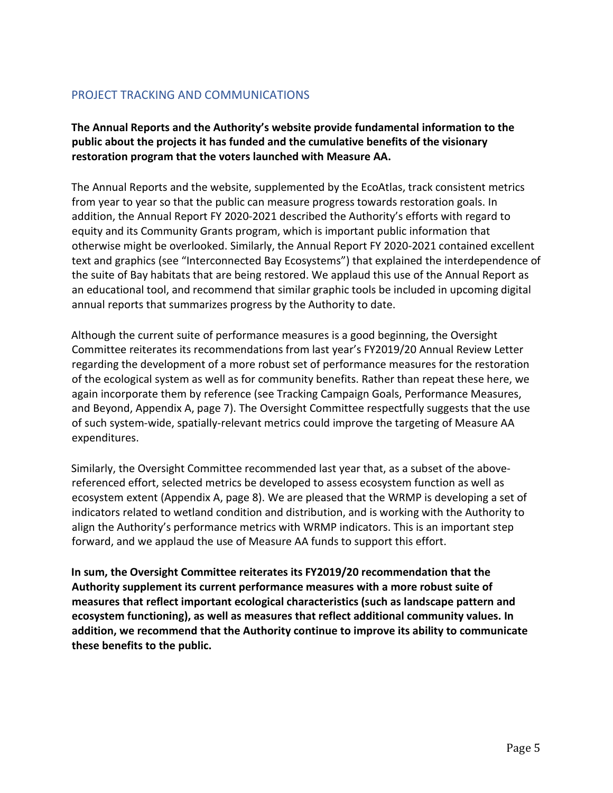## PROJECT TRACKING AND COMMUNICATIONS

**The Annual Reports and the Authority's website provide fundamental information to the public about the projects it has funded and the cumulative benefits of the visionary restoration program that the voters launched with Measure AA.**

The Annual Reports and the website, supplemented by the EcoAtlas, track consistent metrics from year to year so that the public can measure progress towards restoration goals. In addition, the Annual Report FY 2020-2021 described the Authority's efforts with regard to equity and its Community Grants program, which is important public information that otherwise might be overlooked. Similarly, the Annual Report FY 2020-2021 contained excellent text and graphics (see "Interconnected Bay Ecosystems") that explained the interdependence of the suite of Bay habitats that are being restored. We applaud this use of the Annual Report as an educational tool, and recommend that similar graphic tools be included in upcoming digital annual reports that summarizes progress by the Authority to date.

Although the current suite of performance measures is a good beginning, the Oversight Committee reiterates its recommendations from last year's FY2019/20 Annual Review Letter regarding the development of a more robust set of performance measures for the restoration of the ecological system as well as for community benefits. Rather than repeat these here, we again incorporate them by reference (see Tracking Campaign Goals, Performance Measures, and Beyond, Appendix A, page 7). The Oversight Committee respectfully suggests that the use of such system-wide, spatially-relevant metrics could improve the targeting of Measure AA expenditures.

Similarly, the Oversight Committee recommended last year that, as a subset of the abovereferenced effort, selected metrics be developed to assess ecosystem function as well as ecosystem extent (Appendix A, page 8). We are pleased that the WRMP is developing a set of indicators related to wetland condition and distribution, and is working with the Authority to align the Authority's performance metrics with WRMP indicators. This is an important step forward, and we applaud the use of Measure AA funds to support this effort.

**In sum, the Oversight Committee reiterates its FY2019/20 recommendation that the Authority supplement its current performance measures with a more robust suite of measures that reflect important ecological characteristics (such as landscape pattern and ecosystem functioning), as well as measures that reflect additional community values. In addition, we recommend that the Authority continue to improve its ability to communicate these benefits to the public.**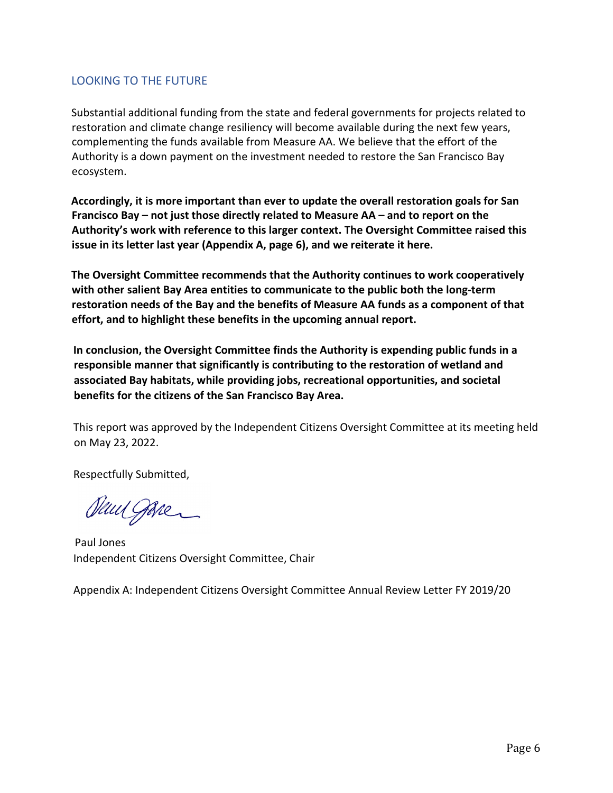## LOOKING TO THE FUTURE

Substantial additional funding from the state and federal governments for projects related to restoration and climate change resiliency will become available during the next few years, complementing the funds available from Measure AA. We believe that the effort of the Authority is a down payment on the investment needed to restore the San Francisco Bay ecosystem.

**Accordingly, it is more important than ever to update the overall restoration goals for San Francisco Bay – not just those directly related to Measure AA – and to report on the Authority's work with reference to this larger context. The Oversight Committee raised this issue in its letter last year (Appendix A, page 6), and we reiterate it here.**

**The Oversight Committee recommends that the Authority continues to work cooperatively with other salient Bay Area entities to communicate to the public both the long-term restoration needs of the Bay and the benefits of Measure AA funds as a component of that effort, and to highlight these benefits in the upcoming annual report.**

**In conclusion, the Oversight Committee finds the Authority is expending public funds in a responsible manner that significantly is contributing to the restoration of wetland and associated Bay habitats, while providing jobs, recreational opportunities, and societal benefits for the citizens of the San Francisco Bay Area.**

This report was approved by the Independent Citizens Oversight Committee at its meeting held on May 23, 2022.

Respectfully Submitted,

Sun gave

Paul Jones Independent Citizens Oversight Committee, Chair

Appendix A: Independent Citizens Oversight Committee Annual Review Letter FY 2019/20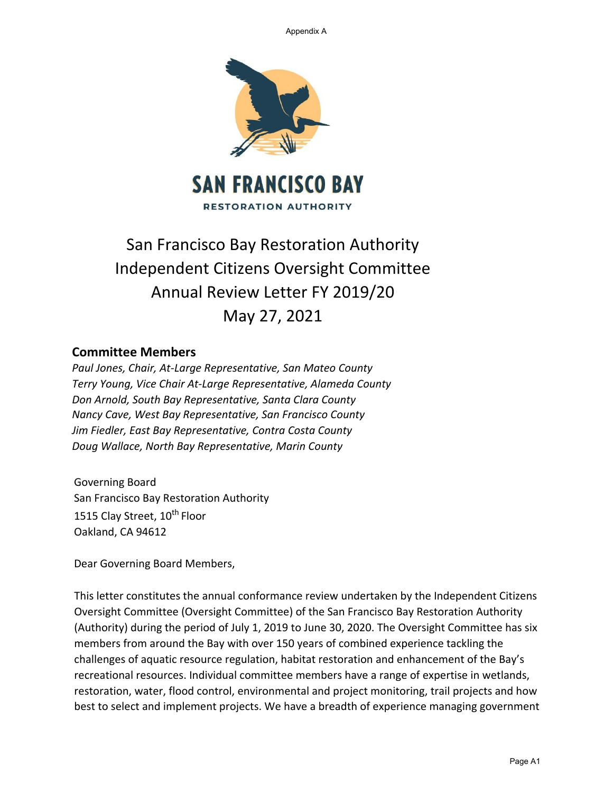Appendix A



# San Francisco Bay Restoration Authority Independent Citizens Oversight Committee Annual Review Letter FY 2019/20 May 27, 2021

## **Committee Members**

*Paul Jones, Chair, At‐Large Representative, San Mateo County Terry Young, Vice Chair At‐Large Representative, Alameda County Don Arnold, South Bay Representative, Santa Clara County Nancy Cave, West Bay Representative, San Francisco County Jim Fiedler, East Bay Representative, Contra Costa County Doug Wallace, North Bay Representative, Marin County*

Governing Board San Francisco Bay Restoration Authority 1515 Clay Street, 10<sup>th</sup> Floor Oakland, CA 94612

Dear Governing Board Members,

This letter constitutes the annual conformance review undertaken by the Independent Citizens Oversight Committee (Oversight Committee) of the San Francisco Bay Restoration Authority (Authority) during the period of July 1, 2019 to June 30, 2020. The Oversight Committee has six members from around the Bay with over 150 years of combined experience tackling the challenges of aquatic resource regulation, habitat restoration and enhancement of the Bay's recreational resources. Individual committee members have a range of expertise in wetlands, restoration, water, flood control, environmental and project monitoring, trail projects and how best to select and implement projects. We have a breadth of experience managing government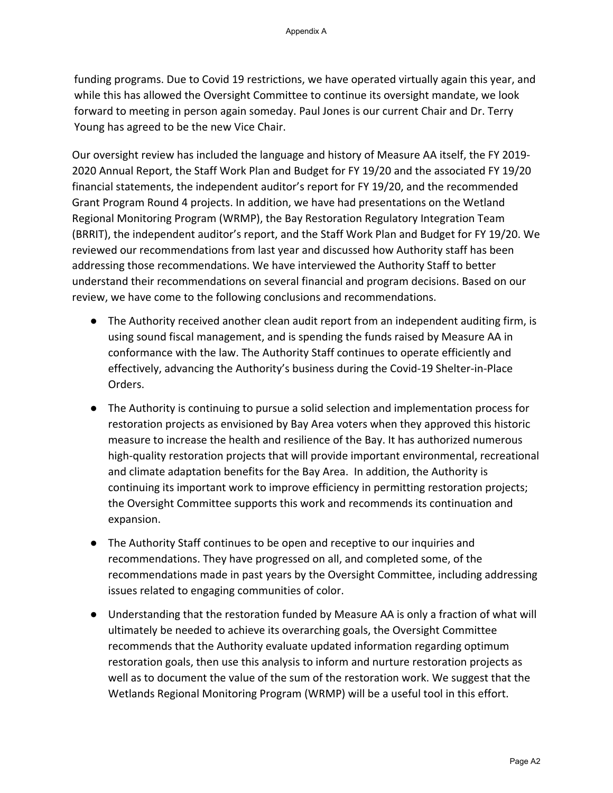funding programs. Due to Covid 19 restrictions, we have operated virtually again this year, and while this has allowed the Oversight Committee to continue its oversight mandate, we look forward to meeting in person again someday. Paul Jones is our current Chair and Dr. Terry Young has agreed to be the new Vice Chair.

Our oversight review has included the language and history of Measure AA itself, the FY 2019- 2020 Annual Report, the Staff Work Plan and Budget for FY 19/20 and the associated FY 19/20 financial statements, the independent auditor's report for FY 19/20, and the recommended Grant Program Round 4 projects. In addition, we have had presentations on the Wetland Regional Monitoring Program (WRMP), the Bay Restoration Regulatory Integration Team (BRRIT), the independent auditor's report, and the Staff Work Plan and Budget for FY 19/20. We reviewed our recommendations from last year and discussed how Authority staff has been addressing those recommendations. We have interviewed the Authority Staff to better understand their recommendations on several financial and program decisions. Based on our review, we have come to the following conclusions and recommendations.

- The Authority received another clean audit report from an independent auditing firm, is using sound fiscal management, and is spending the funds raised by Measure AA in conformance with the law. The Authority Staff continues to operate efficiently and effectively, advancing the Authority's business during the Covid-19 Shelter-in-Place Orders.
- The Authority is continuing to pursue a solid selection and implementation process for restoration projects as envisioned by Bay Area voters when they approved this historic measure to increase the health and resilience of the Bay. It has authorized numerous high-quality restoration projects that will provide important environmental, recreational and climate adaptation benefits for the Bay Area. In addition, the Authority is continuing its important work to improve efficiency in permitting restoration projects; the Oversight Committee supports this work and recommends its continuation and expansion.
- The Authority Staff continues to be open and receptive to our inquiries and recommendations. They have progressed on all, and completed some, of the recommendations made in past years by the Oversight Committee, including addressing issues related to engaging communities of color.
- Understanding that the restoration funded by Measure AA is only a fraction of what will ultimately be needed to achieve its overarching goals, the Oversight Committee recommends that the Authority evaluate updated information regarding optimum restoration goals, then use this analysis to inform and nurture restoration projects as well as to document the value of the sum of the restoration work. We suggest that the Wetlands Regional Monitoring Program (WRMP) will be a useful tool in this effort.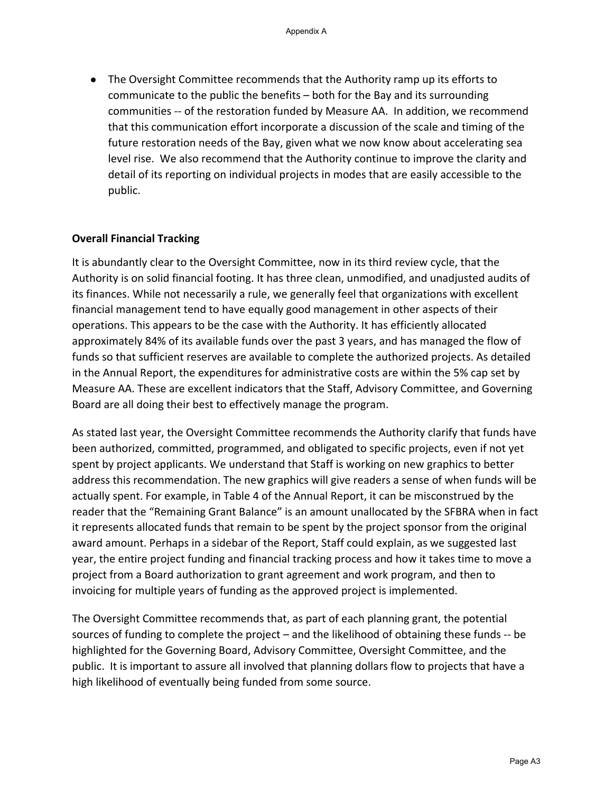● The Oversight Committee recommends that the Authority ramp up its efforts to communicate to the public the benefits – both for the Bay and its surrounding communities -- of the restoration funded by Measure AA. In addition, we recommend that this communication effort incorporate a discussion of the scale and timing of the future restoration needs of the Bay, given what we now know about accelerating sea level rise. We also recommend that the Authority continue to improve the clarity and detail of its reporting on individual projects in modes that are easily accessible to the public.

#### **Overall Financial Tracking**

It is abundantly clear to the Oversight Committee, now in its third review cycle, that the Authority is on solid financial footing. It has three clean, unmodified, and unadjusted audits of its finances. While not necessarily a rule, we generally feel that organizations with excellent financial management tend to have equally good management in other aspects of their operations. This appears to be the case with the Authority. It has efficiently allocated approximately 84% of its available funds over the past 3 years, and has managed the flow of funds so that sufficient reserves are available to complete the authorized projects. As detailed in the Annual Report, the expenditures for administrative costs are within the 5% cap set by Measure AA. These are excellent indicators that the Staff, Advisory Committee, and Governing Board are all doing their best to effectively manage the program.

As stated last year, the Oversight Committee recommends the Authority clarify that funds have been authorized, committed, programmed, and obligated to specific projects, even if not yet spent by project applicants. We understand that Staff is working on new graphics to better address this recommendation. The new graphics will give readers a sense of when funds will be actually spent. For example, in Table 4 of the Annual Report, it can be misconstrued by the reader that the "Remaining Grant Balance" is an amount unallocated by the SFBRA when in fact it represents allocated funds that remain to be spent by the project sponsor from the original award amount. Perhaps in a sidebar of the Report, Staff could explain, as we suggested last year, the entire project funding and financial tracking process and how it takes time to move a project from a Board authorization to grant agreement and work program, and then to invoicing for multiple years of funding as the approved project is implemented.

The Oversight Committee recommends that, as part of each planning grant, the potential sources of funding to complete the project – and the likelihood of obtaining these funds -- be highlighted for the Governing Board, Advisory Committee, Oversight Committee, and the public. It is important to assure all involved that planning dollars flow to projects that have a high likelihood of eventually being funded from some source.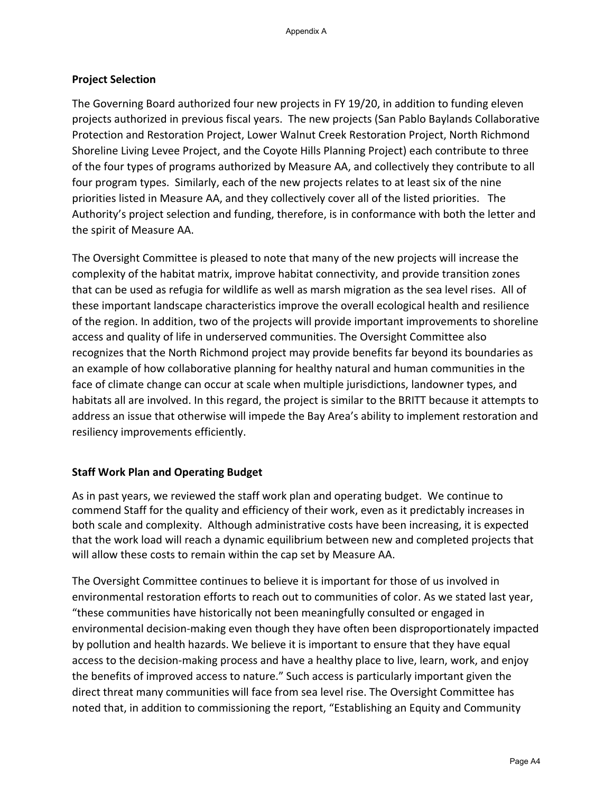### **Project Selection**

The Governing Board authorized four new projects in FY 19/20, in addition to funding eleven projects authorized in previous fiscal years. The new projects (San Pablo Baylands Collaborative Protection and Restoration Project, Lower Walnut Creek Restoration Project, North Richmond Shoreline Living Levee Project, and the Coyote Hills Planning Project) each contribute to three of the four types of programs authorized by Measure AA, and collectively they contribute to all four program types. Similarly, each of the new projects relates to at least six of the nine priorities listed in Measure AA, and they collectively cover all of the listed priorities. The Authority's project selection and funding, therefore, is in conformance with both the letter and the spirit of Measure AA.

The Oversight Committee is pleased to note that many of the new projects will increase the complexity of the habitat matrix, improve habitat connectivity, and provide transition zones that can be used as refugia for wildlife as well as marsh migration as the sea level rises. All of these important landscape characteristics improve the overall ecological health and resilience of the region. In addition, two of the projects will provide important improvements to shoreline access and quality of life in underserved communities. The Oversight Committee also recognizes that the North Richmond project may provide benefits far beyond its boundaries as an example of how collaborative planning for healthy natural and human communities in the face of climate change can occur at scale when multiple jurisdictions, landowner types, and habitats all are involved. In this regard, the project is similar to the BRITT because it attempts to address an issue that otherwise will impede the Bay Area's ability to implement restoration and resiliency improvements efficiently.

## **Staff Work Plan and Operating Budget**

As in past years, we reviewed the staff work plan and operating budget. We continue to commend Staff for the quality and efficiency of their work, even as it predictably increases in both scale and complexity. Although administrative costs have been increasing, it is expected that the work load will reach a dynamic equilibrium between new and completed projects that will allow these costs to remain within the cap set by Measure AA.

The Oversight Committee continues to believe it is important for those of us involved in environmental restoration efforts to reach out to communities of color. As we stated last year, "these communities have historically not been meaningfully consulted or engaged in environmental decision-making even though they have often been disproportionately impacted by pollution and health hazards. We believe it is important to ensure that they have equal access to the decision-making process and have a healthy place to live, learn, work, and enjoy the benefits of improved access to nature." Such access is particularly important given the direct threat many communities will face from sea level rise. The Oversight Committee has noted that, in addition to commissioning the report, "Establishing an Equity and Community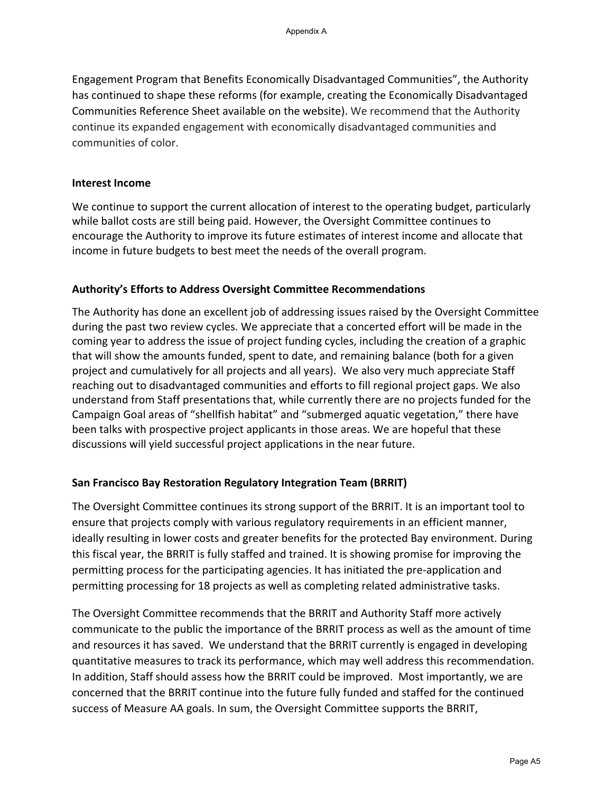Engagement Program that Benefits Economically Disadvantaged Communities", the Authority has continued to shape these reforms (for example, creating the Economically Disadvantaged Communities Reference Sheet available on the website). We recommend that the Authority continue its expanded engagement with economically disadvantaged communities and communities of color.

#### **Interest Income**

We continue to support the current allocation of interest to the operating budget, particularly while ballot costs are still being paid. However, the Oversight Committee continues to encourage the Authority to improve its future estimates of interest income and allocate that income in future budgets to best meet the needs of the overall program.

#### **Authority's Efforts to Address Oversight Committee Recommendations**

The Authority has done an excellent job of addressing issues raised by the Oversight Committee during the past two review cycles. We appreciate that a concerted effort will be made in the coming year to address the issue of project funding cycles, including the creation of a graphic that will show the amounts funded, spent to date, and remaining balance (both for a given project and cumulatively for all projects and all years). We also very much appreciate Staff reaching out to disadvantaged communities and efforts to fill regional project gaps. We also understand from Staff presentations that, while currently there are no projects funded for the Campaign Goal areas of "shellfish habitat" and "submerged aquatic vegetation," there have been talks with prospective project applicants in those areas. We are hopeful that these discussions will yield successful project applications in the near future.

#### **San Francisco Bay Restoration Regulatory Integration Team (BRRIT)**

The Oversight Committee continues its strong support of the BRRIT. It is an important tool to ensure that projects comply with various regulatory requirements in an efficient manner, ideally resulting in lower costs and greater benefits for the protected Bay environment. During this fiscal year, the BRRIT is fully staffed and trained. It is showing promise for improving the permitting process for the participating agencies. It has initiated the pre-application and permitting processing for 18 projects as well as completing related administrative tasks.

The Oversight Committee recommends that the BRRIT and Authority Staff more actively communicate to the public the importance of the BRRIT process as well as the amount of time and resources it has saved. We understand that the BRRIT currently is engaged in developing quantitative measures to track its performance, which may well address this recommendation. In addition, Staff should assess how the BRRIT could be improved. Most importantly, we are concerned that the BRRIT continue into the future fully funded and staffed for the continued success of Measure AA goals. In sum, the Oversight Committee supports the BRRIT,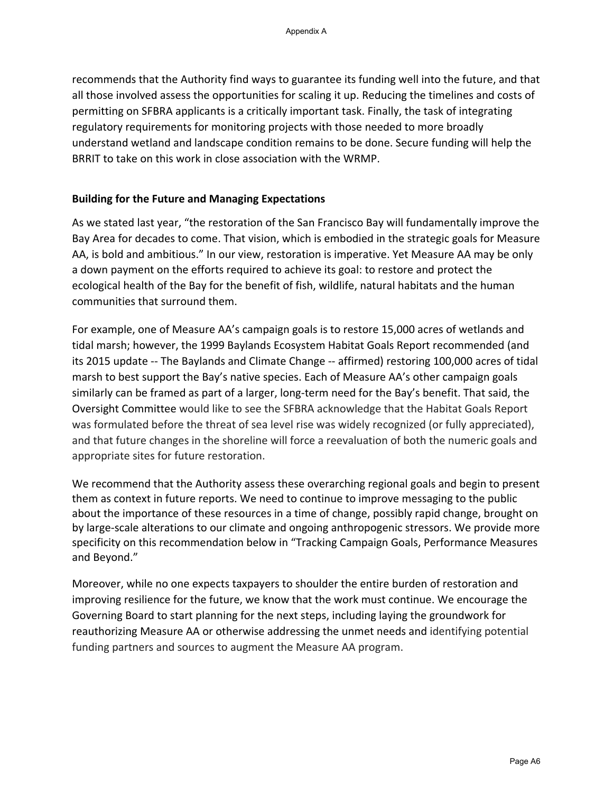recommends that the Authority find ways to guarantee its funding well into the future, and that all those involved assess the opportunities for scaling it up. Reducing the timelines and costs of permitting on SFBRA applicants is a critically important task. Finally, the task of integrating regulatory requirements for monitoring projects with those needed to more broadly understand wetland and landscape condition remains to be done. Secure funding will help the BRRIT to take on this work in close association with the WRMP.

#### **Building for the Future and Managing Expectations**

As we stated last year, "the restoration of the San Francisco Bay will fundamentally improve the Bay Area for decades to come. That vision, which is embodied in the strategic goals for Measure AA, is bold and ambitious." In our view, restoration is imperative. Yet Measure AA may be only a down payment on the efforts required to achieve its goal: to restore and protect the ecological health of the Bay for the benefit of fish, wildlife, natural habitats and the human communities that surround them.

For example, one of Measure AA's campaign goals is to restore 15,000 acres of wetlands and tidal marsh; however, the 1999 Baylands Ecosystem Habitat Goals Report recommended (and its 2015 update -- The Baylands and Climate Change -- affirmed) restoring 100,000 acres of tidal marsh to best support the Bay's native species. Each of Measure AA's other campaign goals similarly can be framed as part of a larger, long-term need for the Bay's benefit. That said, the Oversight Committee would like to see the SFBRA acknowledge that the Habitat Goals Report was formulated before the threat of sea level rise was widely recognized (or fully appreciated), and that future changes in the shoreline will force a reevaluation of both the numeric goals and appropriate sites for future restoration.

We recommend that the Authority assess these overarching regional goals and begin to present them as context in future reports. We need to continue to improve messaging to the public about the importance of these resources in a time of change, possibly rapid change, brought on by large-scale alterations to our climate and ongoing anthropogenic stressors. We provide more specificity on this recommendation below in "Tracking Campaign Goals, Performance Measures and Beyond."

Moreover, while no one expects taxpayers to shoulder the entire burden of restoration and improving resilience for the future, we know that the work must continue. We encourage the Governing Board to start planning for the next steps, including laying the groundwork for reauthorizing Measure AA or otherwise addressing the unmet needs and identifying potential funding partners and sources to augment the Measure AA program.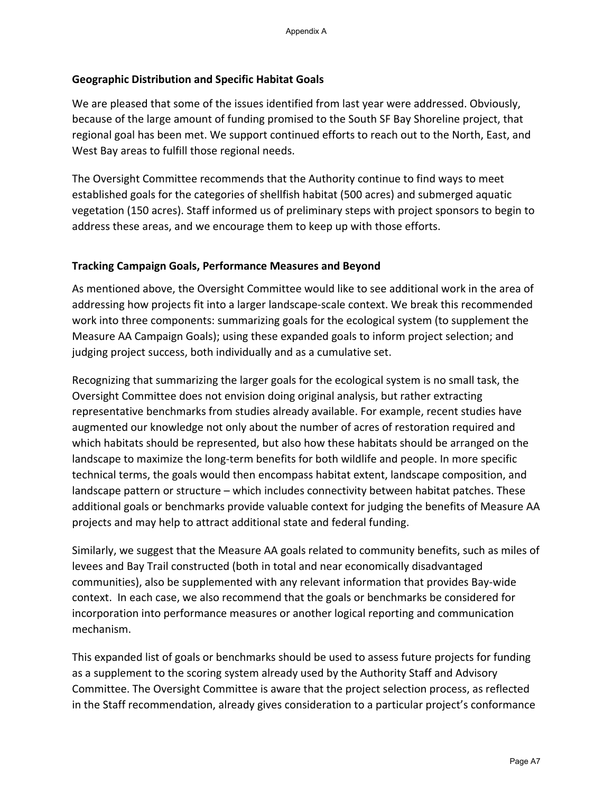### **Geographic Distribution and Specific Habitat Goals**

We are pleased that some of the issues identified from last year were addressed. Obviously, because of the large amount of funding promised to the South SF Bay Shoreline project, that regional goal has been met. We support continued efforts to reach out to the North, East, and West Bay areas to fulfill those regional needs.

The Oversight Committee recommends that the Authority continue to find ways to meet established goals for the categories of shellfish habitat (500 acres) and submerged aquatic vegetation (150 acres). Staff informed us of preliminary steps with project sponsors to begin to address these areas, and we encourage them to keep up with those efforts.

## **Tracking Campaign Goals, Performance Measures and Beyond**

As mentioned above, the Oversight Committee would like to see additional work in the area of addressing how projects fit into a larger landscape-scale context. We break this recommended work into three components: summarizing goals for the ecological system (to supplement the Measure AA Campaign Goals); using these expanded goals to inform project selection; and judging project success, both individually and as a cumulative set.

Recognizing that summarizing the larger goals for the ecological system is no small task, the Oversight Committee does not envision doing original analysis, but rather extracting representative benchmarks from studies already available. For example, recent studies have augmented our knowledge not only about the number of acres of restoration required and which habitats should be represented, but also how these habitats should be arranged on the landscape to maximize the long-term benefits for both wildlife and people. In more specific technical terms, the goals would then encompass habitat extent, landscape composition, and landscape pattern or structure – which includes connectivity between habitat patches. These additional goals or benchmarks provide valuable context for judging the benefits of Measure AA projects and may help to attract additional state and federal funding.

Similarly, we suggest that the Measure AA goals related to community benefits, such as miles of levees and Bay Trail constructed (both in total and near economically disadvantaged communities), also be supplemented with any relevant information that provides Bay-wide context. In each case, we also recommend that the goals or benchmarks be considered for incorporation into performance measures or another logical reporting and communication mechanism.

This expanded list of goals or benchmarks should be used to assess future projects for funding as a supplement to the scoring system already used by the Authority Staff and Advisory Committee. The Oversight Committee is aware that the project selection process, as reflected in the Staff recommendation, already gives consideration to a particular project's conformance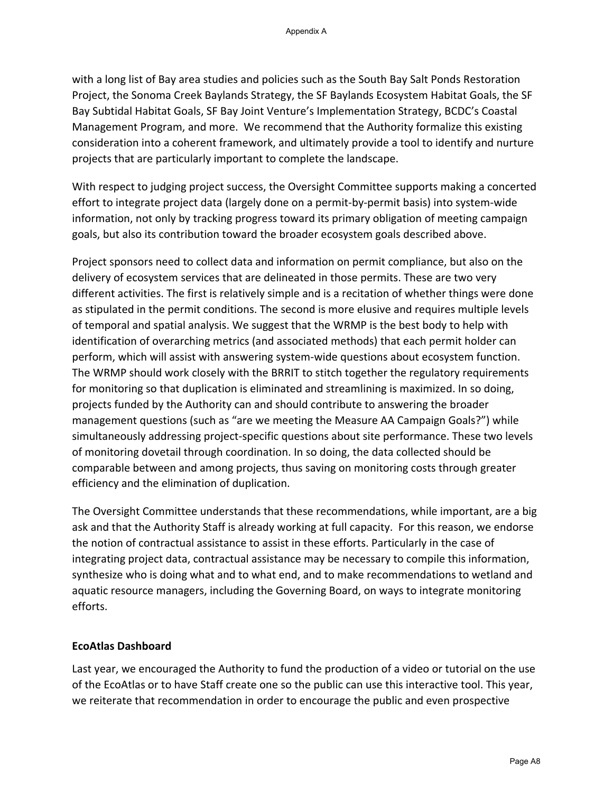with a long list of Bay area studies and policies such as the South Bay Salt Ponds Restoration Project, the Sonoma Creek Baylands Strategy, the SF Baylands Ecosystem Habitat Goals, the SF Bay Subtidal Habitat Goals, SF Bay Joint Venture's Implementation Strategy, BCDC's Coastal Management Program, and more. We recommend that the Authority formalize this existing consideration into a coherent framework, and ultimately provide a tool to identify and nurture projects that are particularly important to complete the landscape.

With respect to judging project success, the Oversight Committee supports making a concerted effort to integrate project data (largely done on a permit-by-permit basis) into system-wide information, not only by tracking progress toward its primary obligation of meeting campaign goals, but also its contribution toward the broader ecosystem goals described above.

Project sponsors need to collect data and information on permit compliance, but also on the delivery of ecosystem services that are delineated in those permits. These are two very different activities. The first is relatively simple and is a recitation of whether things were done as stipulated in the permit conditions. The second is more elusive and requires multiple levels of temporal and spatial analysis. We suggest that the WRMP is the best body to help with identification of overarching metrics (and associated methods) that each permit holder can perform, which will assist with answering system-wide questions about ecosystem function. The WRMP should work closely with the BRRIT to stitch together the regulatory requirements for monitoring so that duplication is eliminated and streamlining is maximized. In so doing, projects funded by the Authority can and should contribute to answering the broader management questions (such as "are we meeting the Measure AA Campaign Goals?") while simultaneously addressing project-specific questions about site performance. These two levels of monitoring dovetail through coordination. In so doing, the data collected should be comparable between and among projects, thus saving on monitoring costs through greater efficiency and the elimination of duplication.

The Oversight Committee understands that these recommendations, while important, are a big ask and that the Authority Staff is already working at full capacity. For this reason, we endorse the notion of contractual assistance to assist in these efforts. Particularly in the case of integrating project data, contractual assistance may be necessary to compile this information, synthesize who is doing what and to what end, and to make recommendations to wetland and aquatic resource managers, including the Governing Board, on ways to integrate monitoring efforts.

#### **EcoAtlas Dashboard**

Last year, we encouraged the Authority to fund the production of a video or tutorial on the use of the EcoAtlas or to have Staff create one so the public can use this interactive tool. This year, we reiterate that recommendation in order to encourage the public and even prospective